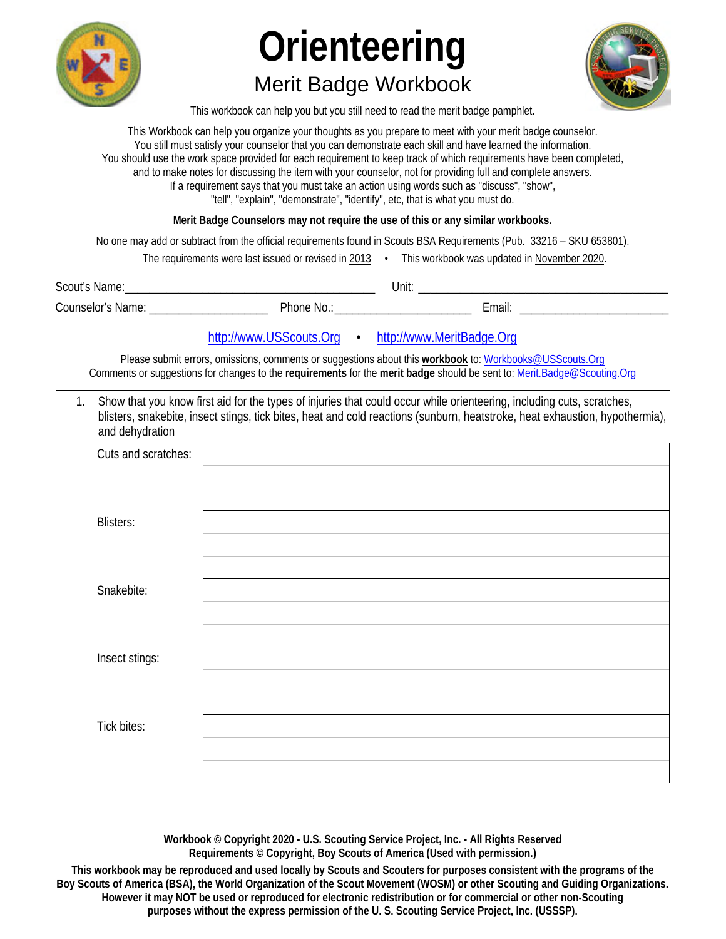

## **Merit Badge Workbook**



This workbook can help you but you still need to read the merit badge pamphlet.

This Workbook can help you organize your thoughts as you prepare to meet with your merit badge counselor. You still must satisfy your counselor that you can demonstrate each skill and have learned the information. You should use the work space provided for each requirement to keep track of which requirements have been completed, and to make notes for discussing the item with your counselor, not for providing full and complete answers. If a requirement says that you must take an action using words such as "discuss", "show", "tell", "explain", "demonstrate", "identify", etc, that is what you must do.

Merit Badge Counselors may not require the use of this or any similar workbooks.

No one may add or subtract from the official requirements found in Scouts BSA Requirements (Pub. 33216 - SKU 653801).

| The requirements were last issued or revised in 2013 |  | This workbook was updated in November 2020. |
|------------------------------------------------------|--|---------------------------------------------|
|------------------------------------------------------|--|---------------------------------------------|

| Scout's<br>Name:         |          | Unit. |        |
|--------------------------|----------|-------|--------|
| <b>Counselor's Name:</b> | Phone No |       | ∠mail: |

http://www.USScouts.Org • http://www.MeritBadge.Org

Please submit errors, omissions, comments or suggestions about this workbook to: Workbooks@USScouts.Org Comments or suggestions for changes to the requirements for the merit badge should be sent to: Merit.Badge@Scouting.Org

1. Show that you know first aid for the types of injuries that could occur while orienteering, including cuts, scratches, blisters, snakebite, insect stings, tick bites, heat and cold reactions (sunburn, heatstroke, heat exhaustion, hypothermia), and dehydration

| Cuts and scratches: |  |
|---------------------|--|
|                     |  |
| <b>Blisters:</b>    |  |
|                     |  |
| Snakebite:          |  |
| Insect stings:      |  |
|                     |  |
| <b>Tick bites:</b>  |  |
|                     |  |
|                     |  |

Workbook © Copyright 2020 - U.S. Scouting Service Project, Inc. - All Rights Reserved Requirements © Copyright, Boy Scouts of America (Used with permission.)

This workbook may be reproduced and used locally by Scouts and Scouters for purposes consistent with the programs of the Boy Scouts of America (BSA), the World Organization of the Scout Movement (WOSM) or other Scouting and Guiding Organizations. However it may NOT be used or reproduced for electronic redistribution or for commercial or other non-Scouting purposes without the express permission of the U.S. Scouting Service Project, Inc. (USSSP).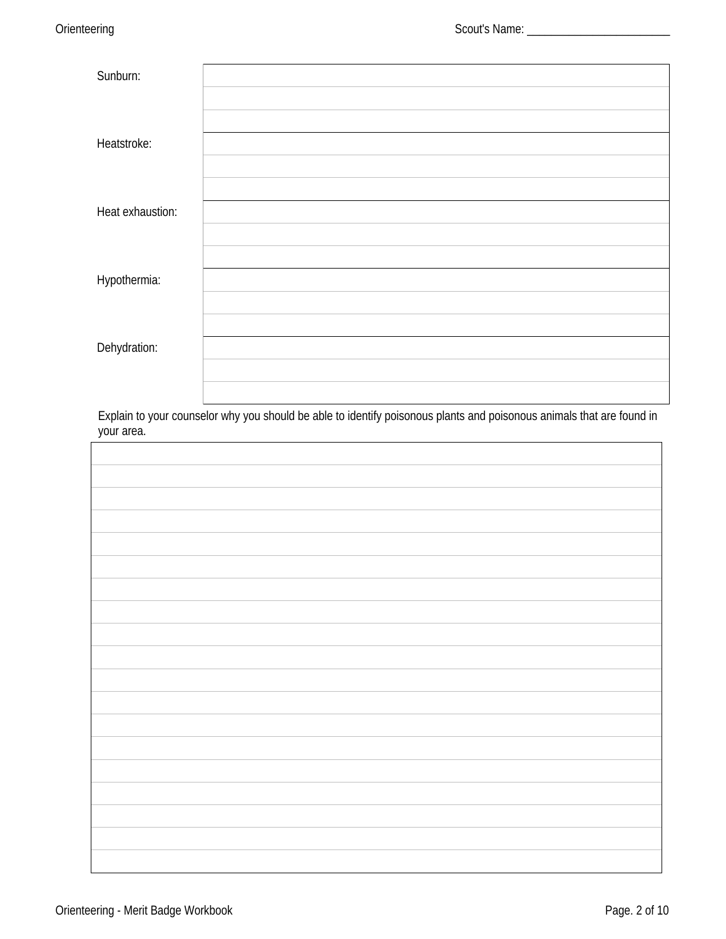| Sunburn:         |  |
|------------------|--|
|                  |  |
|                  |  |
| Heatstroke:      |  |
|                  |  |
|                  |  |
| Heat exhaustion: |  |
|                  |  |
|                  |  |
| Hypothermia:     |  |
|                  |  |
|                  |  |
| Dehydration:     |  |
|                  |  |
|                  |  |

Explain to your counselor why you should be able to identify poisonous plants and poisonous animals that are found in your area.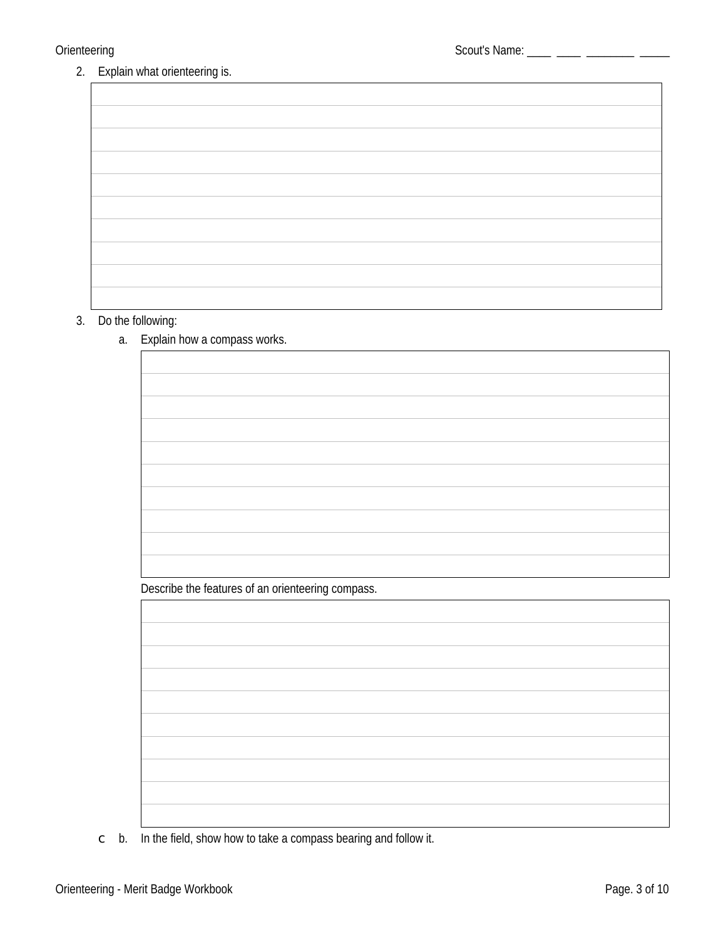2. Explain what orienteering is.

#### 3. Do the following:

### a. Explain how a compass works.

Describe the features of an orienteering compass.

 $\circ$  b. In the field, show how to take a compass bearing and follow it.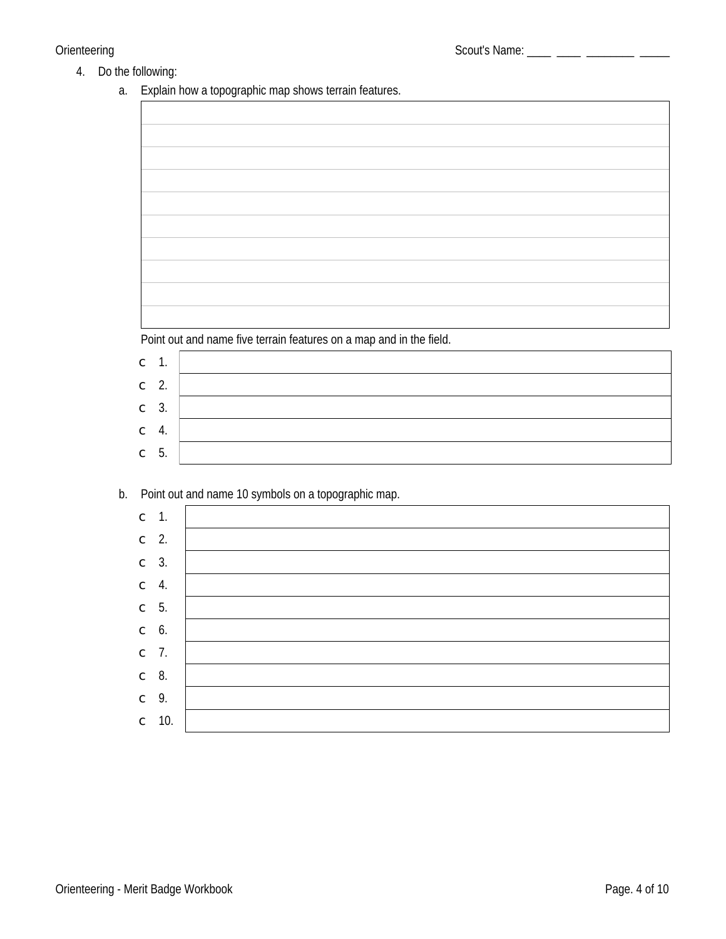#### 4. Do the following:

a. Explain how a topographic map shows terrain features.

Point out and name five terrain features on a map and in the field.

| $\subset$ 1. |    |  |
|--------------|----|--|
| $\subset$ 2. |    |  |
| $\subset$ 3. |    |  |
| $\mathsf C$  | 4. |  |
| $\subset$ 5. |    |  |

### b. Point out and name 10 symbols on a topographic map.

| $\subset$ 1.    |               |  |
|-----------------|---------------|--|
| $\subset$ 2.    |               |  |
| $\subset$ 3.    |               |  |
| $\subset$ 4.    |               |  |
| $\subset$ 5.    |               |  |
| $\mathbb{C}$ 6. |               |  |
| $\subset$ 7.    |               |  |
| $\subset$ 8.    |               |  |
| $\subset$ 9.    |               |  |
|                 | $\degree$ 10. |  |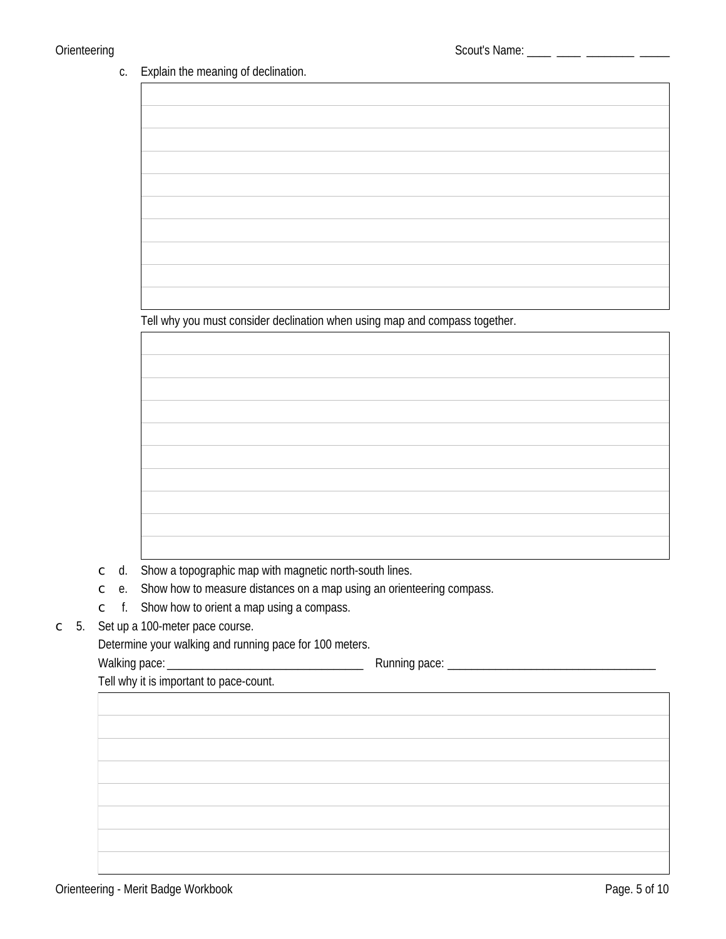#### Explain the meaning of declination. c.

|                      |           |    | Explain the meaning or accimation.                                                                                   |
|----------------------|-----------|----|----------------------------------------------------------------------------------------------------------------------|
|                      |           |    |                                                                                                                      |
|                      |           |    |                                                                                                                      |
|                      |           |    |                                                                                                                      |
|                      |           |    |                                                                                                                      |
|                      |           |    |                                                                                                                      |
|                      |           |    |                                                                                                                      |
|                      |           |    |                                                                                                                      |
|                      |           |    |                                                                                                                      |
|                      |           |    |                                                                                                                      |
|                      |           |    |                                                                                                                      |
|                      |           |    |                                                                                                                      |
|                      |           |    |                                                                                                                      |
|                      |           |    | Tell why you must consider declination when using map and compass together.                                          |
|                      |           |    |                                                                                                                      |
|                      |           |    |                                                                                                                      |
|                      |           |    |                                                                                                                      |
|                      |           |    |                                                                                                                      |
|                      |           |    |                                                                                                                      |
|                      |           |    |                                                                                                                      |
|                      |           |    |                                                                                                                      |
|                      |           |    |                                                                                                                      |
|                      |           |    |                                                                                                                      |
|                      |           |    |                                                                                                                      |
|                      |           |    |                                                                                                                      |
|                      |           |    |                                                                                                                      |
|                      | $\subset$ | d. | Show a topographic map with magnetic north-south lines.                                                              |
|                      | $\subset$ | e. | Show how to measure distances on a map using an orienteering compass.                                                |
|                      |           |    | $\subset$ f. Show how to orient a map using a compass.                                                               |
| 5.<br>$\mathsf{C}^-$ |           |    | Set up a 100-meter pace course.                                                                                      |
|                      |           |    | Determine your walking and running pace for 100 meters.                                                              |
|                      |           |    | Tell why it is important to pace-count.                                                                              |
|                      |           |    | <u> Tanzania de la contrada de la contrada de la contrada de la contrada de la contrada de la contrada de la con</u> |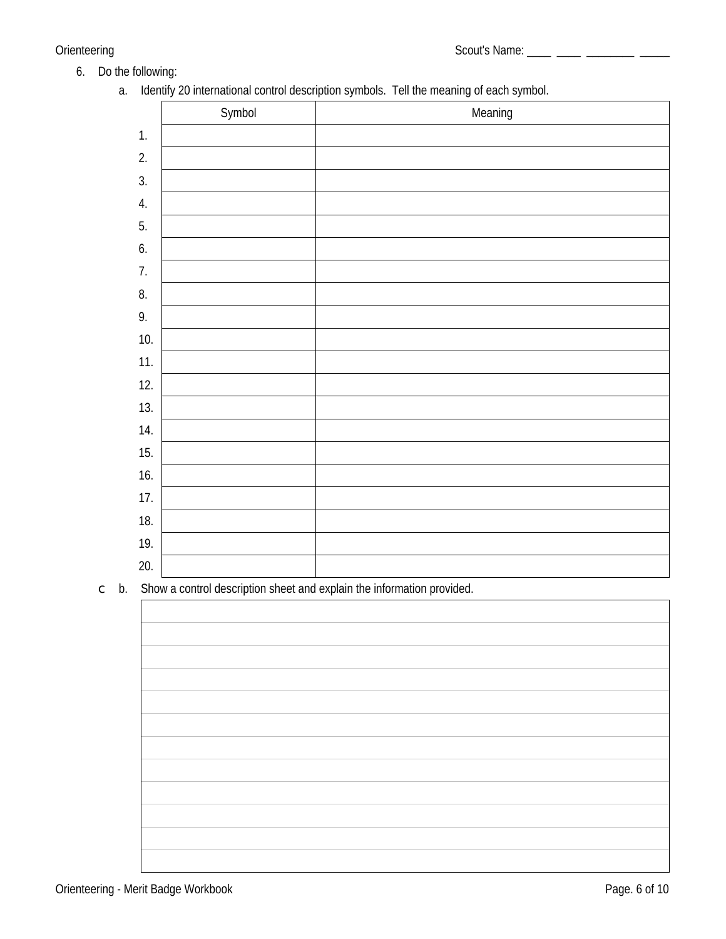- 6. Do the following:
	- a. Identify 20 international control description symbols. Tell the meaning of each symbol.

|     | Symbol | Meaning |
|-----|--------|---------|
| 1.  |        |         |
| 2.  |        |         |
| 3.  |        |         |
| 4.  |        |         |
| 5.  |        |         |
| 6.  |        |         |
| 7.  |        |         |
| 8.  |        |         |
| 9.  |        |         |
| 10. |        |         |
| 11. |        |         |
| 12. |        |         |
| 13. |        |         |
| 14. |        |         |
| 15. |        |         |
| 16. |        |         |
| 17. |        |         |
| 18. |        |         |
| 19. |        |         |
| 20. |        |         |

 $\circ$  b. Show a control description sheet and explain the information provided.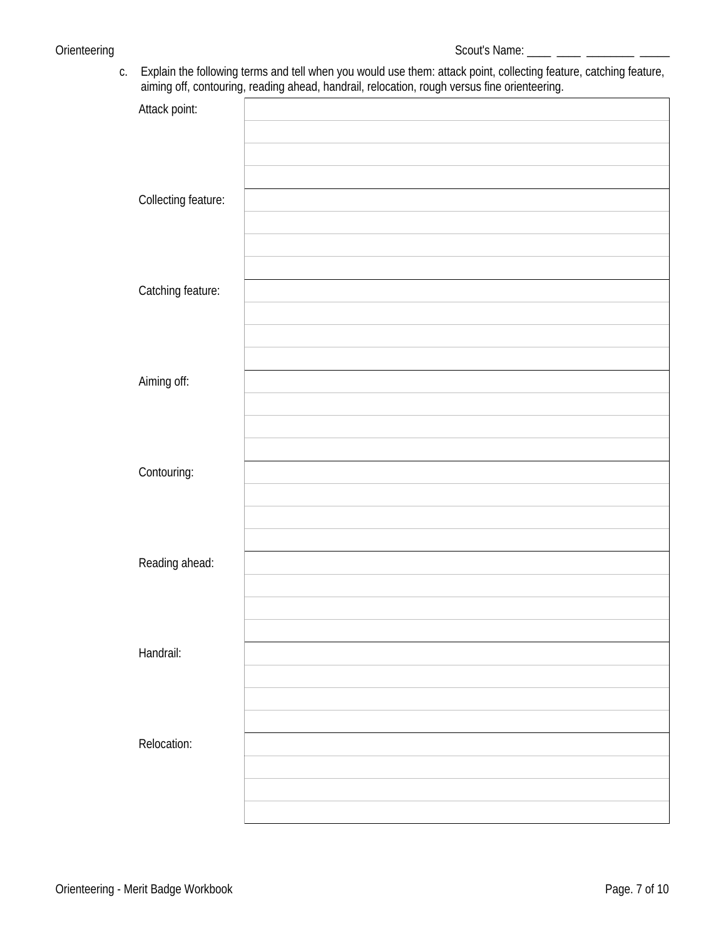c. Explain the following terms and tell when you would use them: attack point, collecting feature, catching feature, aiming off, contouring, reading ahead, handrail, relocation, rough versus fine orienteering.

| ◡                          | u'<br>$\mathbf{v}$ | $\mathbf{r}$<br>$\mathbf{r}$ | $\sim$<br><u>u</u> | <u>u</u> |  |
|----------------------------|--------------------|------------------------------|--------------------|----------|--|
| Attack point:              |                    |                              |                    |          |  |
|                            |                    |                              |                    |          |  |
|                            |                    |                              |                    |          |  |
|                            |                    |                              |                    |          |  |
| <b>Collecting feature:</b> |                    |                              |                    |          |  |
|                            |                    |                              |                    |          |  |
|                            |                    |                              |                    |          |  |
|                            |                    |                              |                    |          |  |
| Catching feature:          |                    |                              |                    |          |  |
|                            |                    |                              |                    |          |  |
|                            |                    |                              |                    |          |  |
| Aiming off:                |                    |                              |                    |          |  |
|                            |                    |                              |                    |          |  |
|                            |                    |                              |                    |          |  |
|                            |                    |                              |                    |          |  |
| Contouring:                |                    |                              |                    |          |  |
|                            |                    |                              |                    |          |  |
|                            |                    |                              |                    |          |  |
|                            |                    |                              |                    |          |  |
| Reading ahead:             |                    |                              |                    |          |  |
|                            |                    |                              |                    |          |  |
|                            |                    |                              |                    |          |  |
|                            |                    |                              |                    |          |  |
| Handrail:                  |                    |                              |                    |          |  |
|                            |                    |                              |                    |          |  |
|                            |                    |                              |                    |          |  |
| <b>Relocation:</b>         |                    |                              |                    |          |  |
|                            |                    |                              |                    |          |  |
|                            |                    |                              |                    |          |  |
|                            |                    |                              |                    |          |  |
|                            |                    |                              |                    |          |  |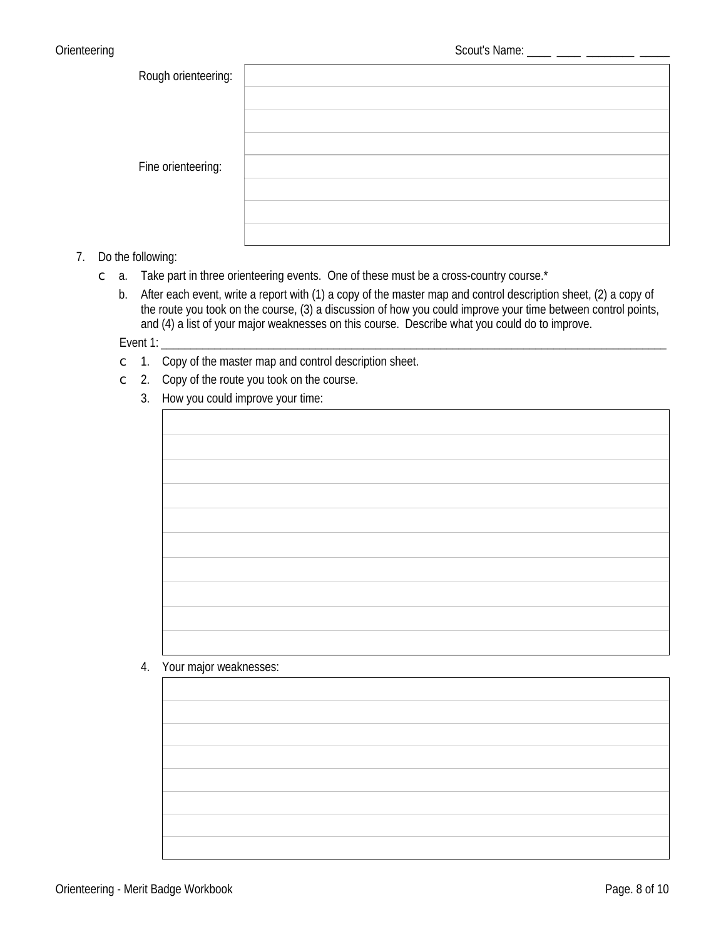| Rough orienteering: |  |
|---------------------|--|
|                     |  |
|                     |  |
|                     |  |
| Fine orienteering:  |  |
|                     |  |
|                     |  |
|                     |  |

#### 7. Do the following:

- c a. Take part in three orienteering events. One of these must be a cross-country course.\*
	- b. After each event, write a report with (1) a copy of the master map and control description sheet, (2) a copy of the route you took on the course, (3) a discussion of how you could improve your time between control points, and (4) a list of your major weaknesses on this course. Describe what you could do to improve.

Event 1:

- $\subset$  1. Copy of the master map and control description sheet.
- $\degree$  2. Copy of the route you took on the course.
	- 3. How you could improve your time:

#### 4. Your major weaknesses:

| the control of the control of the control of the control of |  |  |
|-------------------------------------------------------------|--|--|
|                                                             |  |  |
|                                                             |  |  |
|                                                             |  |  |
|                                                             |  |  |
|                                                             |  |  |
|                                                             |  |  |
|                                                             |  |  |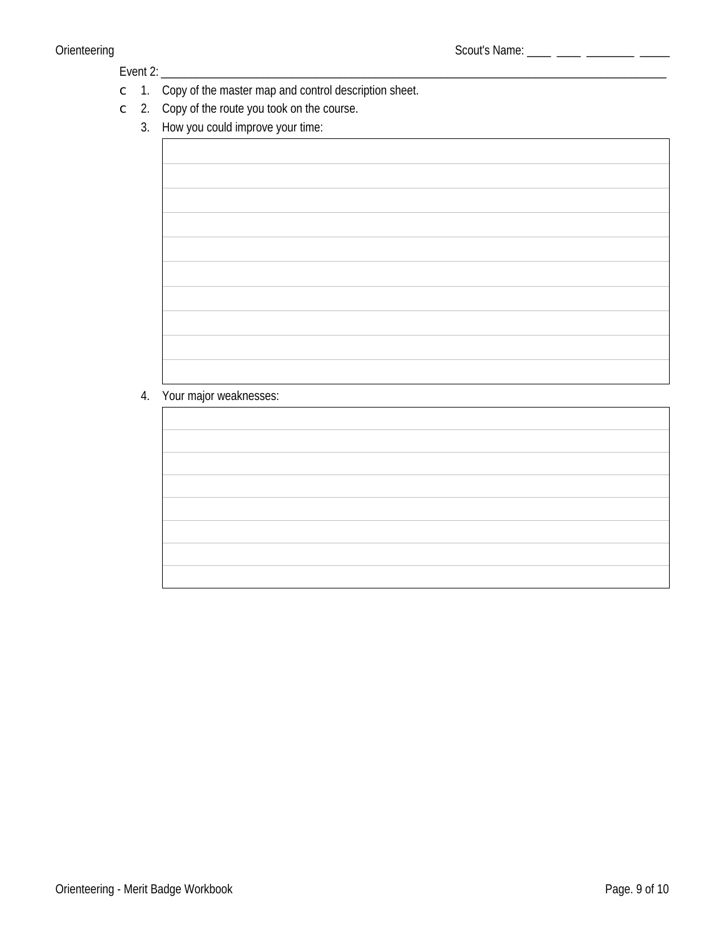#### Event 2: \_\_\_\_\_\_\_\_\_\_

- $\circ$  1. Copy of the master map and control description sheet.
- $\subset$  2. Copy of the route you took on the course.
	- 3. How you could improve your time:

### 4. Your major weaknesses:

| ,我们也不会有什么。""我们的人,我们也不会有什么?""我们的人,我们也不会有什么?""我们的人,我们也不会有什么?""我们的人,我们也不会有什么?""我们的人 |  |
|----------------------------------------------------------------------------------|--|
|                                                                                  |  |
|                                                                                  |  |
|                                                                                  |  |
|                                                                                  |  |
| ,我们也不会有什么。""我们的人,我们也不会有什么?""我们的人,我们也不会有什么?""我们的人,我们也不会有什么?""我们的人,我们也不会有什么?""我们的人 |  |
|                                                                                  |  |
| ,我们也不会有什么。""我们的人,我们也不会有什么?""我们的人,我们也不会有什么?""我们的人,我们也不会有什么?""我们的人,我们也不会有什么?""我们的人 |  |